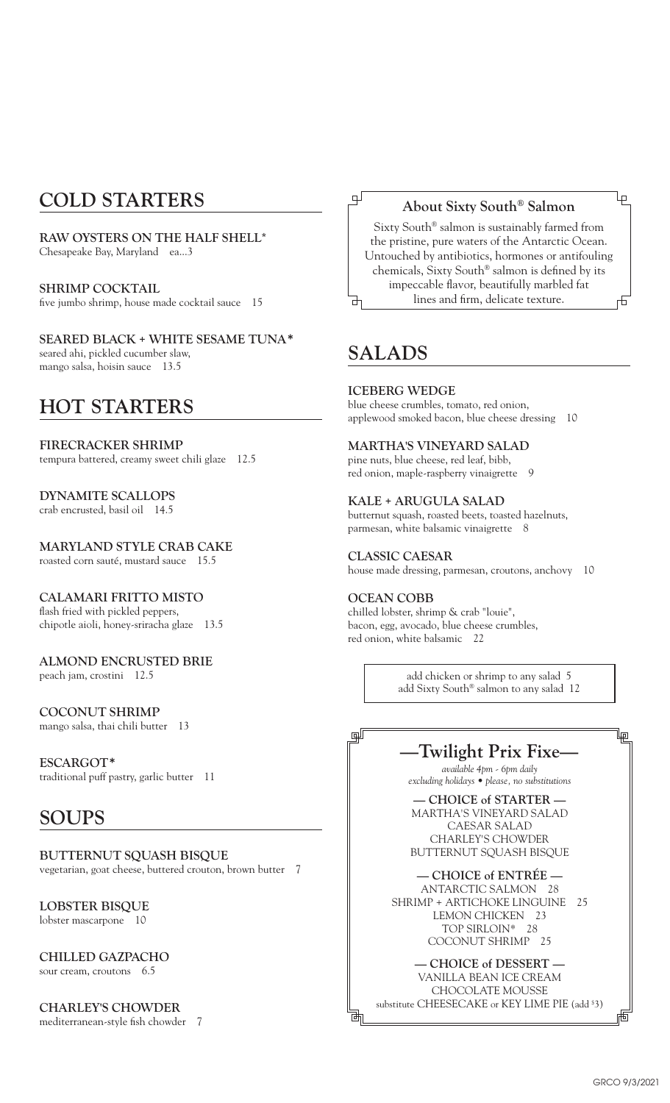# **COLD STARTERS**

**RAW OYSTERS ON THE HALF SHELL\*** Chesapeake Bay, Maryland ea...3

**SHRIMP COCKTAIL** five jumbo shrimp, house made cocktail sauce 15

**SEARED BLACK + WHITE SESAME TUNA\*** seared ahi, pickled cucumber slaw, mango salsa, hoisin sauce 13.5

# **HOT STARTERS**

**FIRECRACKER SHRIMP** tempura battered, creamy sweet chili glaze 12.5

## **DYNAMITE SCALLOPS**

crab encrusted, basil oil 14.5

## **MARYLAND STYLE CRAB CAKE**

roasted corn sauté, mustard sauce 15.5

### **CALAMARI FRITTO MISTO**

flash fried with pickled peppers, chipotle aioli, honey-sriracha glaze 13.5

## **ALMOND ENCRUSTED BRIE**

peach jam, crostini 12.5

### **COCONUT SHRIMP**

mango salsa, thai chili butter 13

## **ESCARGOT\***

traditional puff pastry, garlic butter 11

## **SOUPS**

**BUTTERNUT SQUASH BISQUE** vegetarian, goat cheese, buttered crouton, brown butter 7

#### **LOBSTER BISQUE** lobster mascarpone 10

# **CHILLED GAZPACHO**

sour cream, croutons 6.5

# **CHARLEY'S CHOWDER**

mediterranean-style fish chowder 7

## **About Sixty South® Salmon**

Ļρ

Sixty South® salmon is sustainably farmed from the pristine, pure waters of the Antarctic Ocean. Untouched by antibiotics, hormones or antifouling chemicals, Sixty South® salmon is defined by its impeccable flavor, beautifully marbled fat lines and firm, delicate texture. 击

# **SALADS**

⋥

### **ICEBERG WEDGE**

blue cheese crumbles, tomato, red onion, applewood smoked bacon, blue cheese dressing 10

### **MARTHA'S VINEYARD SALAD**

pine nuts, blue cheese, red leaf, bibb, red onion, maple-raspberry vinaigrette 9

### **KALE + ARUGULA SALAD**

butternut squash, roasted beets, toasted hazelnuts, parmesan, white balsamic vinaigrette 8

### **CLASSIC CAESAR**

house made dressing, parmesan, croutons, anchovy 10

### **OCEAN COBB**

¥

chilled lobster, shrimp & crab "louie", bacon, egg, avocado, blue cheese crumbles, red onion, white balsamic 22

> add chicken or shrimp to any salad 5 add Sixty South® salmon to any salad 12

## **—Twilight Prix Fixe—**

*available 4pm - 6pm daily excluding holidays • please, no substitutions* 

**— CHOICE of STARTER —** MARTHA'S VINEYARD SALAD CAESAR SALAD CHARLEY'S CHOWDER BUTTERNUT SQUASH BISQUE

#### **— CHOICE of ENTRÉE —**

ANTARCTIC SALMON 28 SHRIMP + ARTICHOKE LINGUINE 25 LEMON CHICKEN 23 TOP SIRLOIN\* 28 COCONUT SHRIMP 25

### **— CHOICE of DESSERT —**

VANILLA BEAN ICE CREAM CHOCOLATE MOUSSE substitute CHEESECAKE or KEY LIME PIE (add \$ 3) ևp